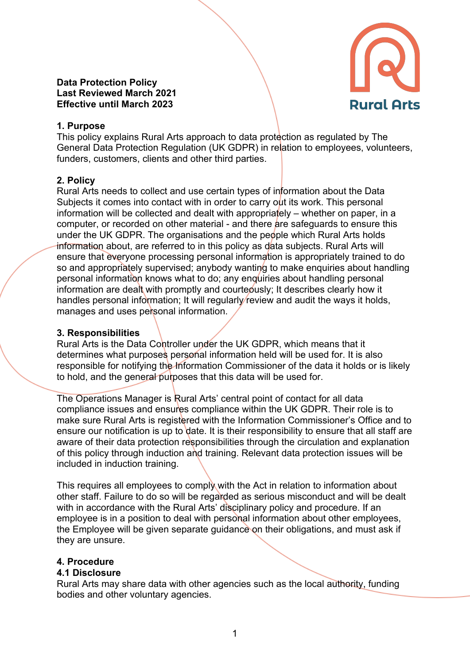#### **Data Protection Policy Last Reviewed March 2021 Effective until March 2023**



### **1. Purpose**

This policy explains Rural Arts approach to data protection as regulated by The General Data Protection Regulation (UK GDPR) in relation to employees, volunteers, funders, customers, clients and other third parties.

# **2. Policy**

Rural Arts needs to collect and use certain types of information about the Data Subjects it comes into contact with in order to carry out its work. This personal information will be collected and dealt with appropriately – whether on paper, in a computer, or recorded on other material - and there are safeguards to ensure this under the UK GDPR. The organisations and the people which Rural Arts holds information about, are referred to in this policy as data subjects. Rural Arts will ensure that everyone processing personal information is appropriately trained to do so and appropriately supervised; anybody wanting to make enquiries about handling personal information knows what to do; any enquiries about handling personal information are dealt with promptly and courteously: It describes clearly how it handles personal information; It will regularly review and audit the ways it holds, manages and uses personal information.

# **3. Responsibilities**

Rural Arts is the Data Controller under the UK GDPR, which means that it determines what purposes personal information held will be used for. It is also responsible for notifying the Information Commissioner of the data it holds or is likely to hold, and the general purposes that this data will be used for.

The Operations Manager is Rural Arts' central point of contact for all data compliance issues and ensures compliance within the UK GDPR. Their role is to make sure Rural Arts is registered with the Information Commissioner's Office and to ensure our notification is up to date. It is their responsibility to ensure that all staff are aware of their data protection responsibilities through the circulation and explanation of this policy through induction and training. Relevant data protection issues will be included in induction training.

This requires all employees to comply with the Act in relation to information about other staff. Failure to do so will be regarded as serious misconduct and will be dealt with in accordance with the Rural Arts' disciplinary policy and procedure. If an employee is in a position to deal with personal information about other employees, the Employee will be given separate guidance on their obligations, and must ask if they are unsure.

# **4. Procedure**

### **4.1 Disclosure**

Rural Arts may share data with other agencies such as the local authority, funding bodies and other voluntary agencies.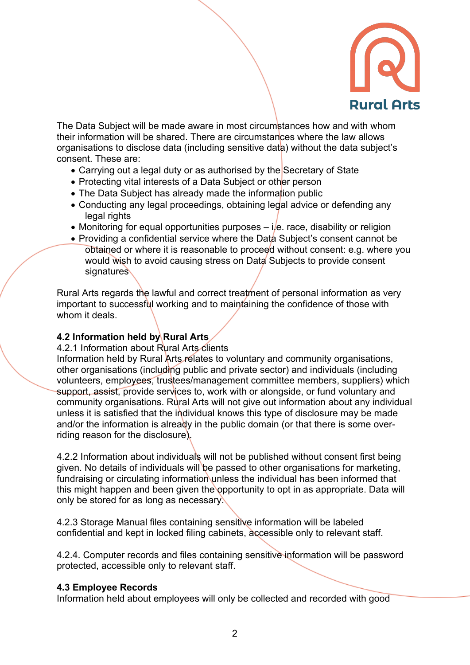

The Data Subject will be made aware in most circumstances how and with whom their information will be shared. There are circumstances where the law allows organisations to disclose data (including sensitive data) without the data subject's consent. These are:

- Carrying out a legal duty or as authorised by the Secretary of State
- Protecting vital interests of a Data Subject or other person
- The Data Subject has already made the information public
- Conducting any legal proceedings, obtaining legal advice or defending any legal rights
- Monitoring for equal opportunities purposes  $-i/e$ . race, disability or religion
- Providing a confidential service where the Data Subiect's consent cannot be obtained or where it is reasonable to proceed without consent: e.g. where you would wish to avoid causing stress on Data Subjects to provide consent signatures

Rural Arts regards the lawful and correct treatment of personal information as very important to successful working and to maintaining the confidence of those with whom it deals.

### **4.2 Information held by Rural Arts**

#### 4.2.1 Information about Rural Arts clients

Information held by Rural Arts relates to voluntary and community organisations, other organisations (including public and private sector) and individuals (including volunteers, employees, trustees/management committee members, suppliers) which support, assist, provide services to, work with or alongside, or fund voluntary and community organisations. Rural Arts will not give out information about any individual unless it is satisfied that the individual knows this type of disclosure may be made and/or the information is already in the public domain (or that there is some overriding reason for the disclosure).

4.2.2 Information about individuals will not be published without consent first being given. No details of individuals will be passed to other organisations for marketing, fundraising or circulating information unless the individual has been informed that this might happen and been given the opportunity to opt in as appropriate. Data will only be stored for as long as necessary.

4.2.3 Storage Manual files containing sensitive information will be labeled confidential and kept in locked filing cabinets, accessible only to relevant staff.

4.2.4. Computer records and files containing sensitive information will be password protected, accessible only to relevant staff.

#### **4.3 Employee Records**

Information held about employees will only be collected and recorded with good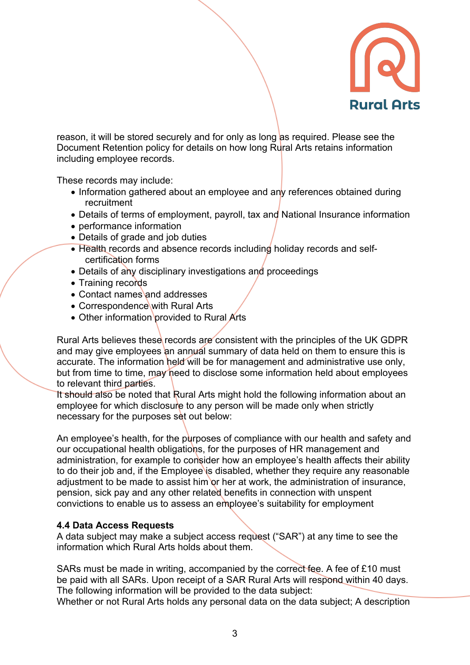

reason, it will be stored securely and for only as long as required. Please see the Document Retention policy for details on how long Rural Arts retains information including employee records.

These records may include:

- Information gathered about an employee and any references obtained during recruitment
- Details of terms of employment, payroll, tax and National Insurance information
- performance information
- Details of grade and job duties
- Health records and absence records including holiday records and selfcertification forms
- Details of any disciplinary investigations and proceedings
- Training records
- Contact names and addresses
- Correspondence with Rural Arts
- Other information provided to Rural Arts

Rural Arts believes these records are consistent with the principles of the UK GDPR and may give employees an annual summary of data held on them to ensure this is accurate. The information held will be for management and administrative use only, but from time to time, may need to disclose some information held about employees to relevant third parties.

It should also be noted that Rural Arts might hold the following information about an employee for which disclosure to any person will be made only when strictly necessary for the purposes set out below:

An employee's health, for the purposes of compliance with our health and safety and our occupational health obligations, for the purposes of HR management and administration, for example to consider how an employee's health affects their ability to do their job and, if the Employee is disabled, whether they require any reasonable adjustment to be made to assist him or her at work, the administration of insurance, pension, sick pay and any other related benefits in connection with unspent convictions to enable us to assess an employee's suitability for employment

# **4.4 Data Access Requests**

A data subject may make a subject access request ("SAR") at any time to see the information which Rural Arts holds about them.

SARs must be made in writing, accompanied by the correct fee. A fee of £10 must be paid with all SARs. Upon receipt of a SAR Rural Arts will respond within 40 days. The following information will be provided to the data subject:

Whether or not Rural Arts holds any personal data on the data subject; A description